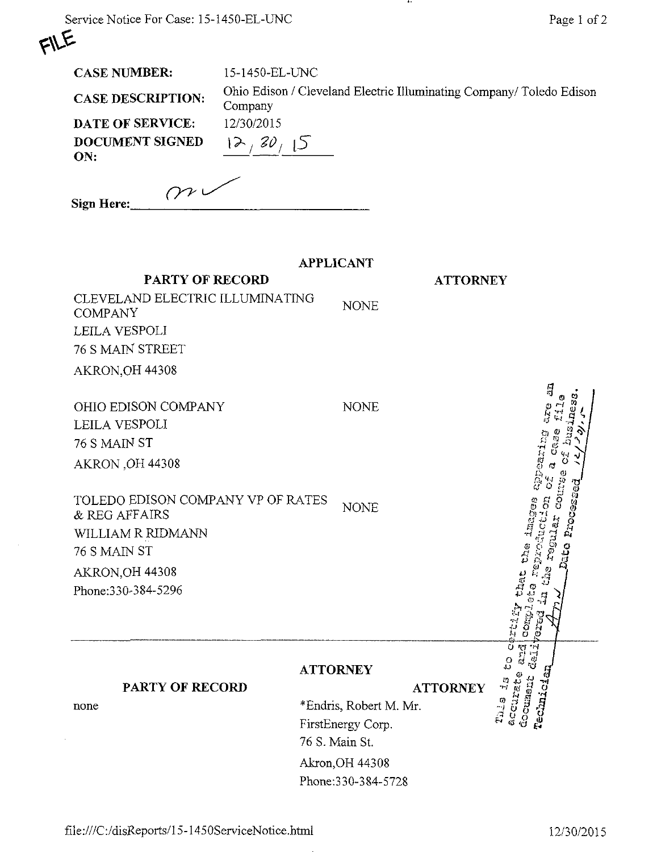| N.<br>۹<br>¢. |
|---------------|

÷.

|  | <b>CASE NUMBER:</b> |
|--|---------------------|
|--|---------------------|

15-1450-EL-UNC

CASE DESCRIPTION: Ohio Edison / Cleveland Electric Illuminating Company/ Toledo Edison Company  $12/30/15$ 

. . .

| DATE OF SERVICE:       | 12/30/2015 |
|------------------------|------------|
| DOCUMENT SIGNED<br>ON: | 12, 30,    |
|                        |            |

| Sign Here: | $\gamma$ |  |
|------------|----------|--|

|                                                    | <b>APPLICANT</b>       |                                        |
|----------------------------------------------------|------------------------|----------------------------------------|
| <b>PARTY OF RECORD</b>                             |                        | <b>ATTORNEY</b>                        |
| CLEVELAND ELECTRIC ILLUMINATING<br><b>COMPANY</b>  | <b>NONE</b>            |                                        |
| LEILA VESPOLI                                      |                        |                                        |
| 76 S MAIN STREET                                   |                        |                                        |
| AKRON, OH 44308                                    |                        |                                        |
|                                                    |                        | ្បី                                    |
| OHIO EDISON COMPANY                                | <b>NONE</b>            |                                        |
| LEILA VESPOLI                                      |                        |                                        |
| 76 S MAIN ST                                       |                        |                                        |
| AKRON, OH 44308                                    |                        |                                        |
|                                                    |                        |                                        |
| TOLEDO EDISON COMPANY VP OF RATES<br>& REG AFFAIRS | <b>NONE</b>            |                                        |
| WILLIAM R RIDMANN                                  |                        | Proce                                  |
| 76 S MAIN ST                                       |                        | reputer                                |
| AKRON, OH 44308                                    |                        | Ø                                      |
| Phone: 330-384-5296                                |                        | that                                   |
|                                                    |                        |                                        |
|                                                    |                        | <b>COMP</b>                            |
|                                                    | <b>ATTORNEY</b>        | $\frac{1}{\sqrt{2}}$<br>$\frac{0}{42}$ |
| PARTY OF RECORD                                    |                        | $\frac{v_i}{1}$<br><b>ATTORNEY</b>     |
| none                                               | *Endris, Robert M. Mr. | Technician<br>accurate<br>doounent     |
|                                                    | FirstEnergy Corp.      | Tu.s                                   |
|                                                    | 76 S. Main St.         |                                        |
|                                                    | Akron, OH 44308        |                                        |
|                                                    | Phone: 330-384-5728    |                                        |
|                                                    |                        |                                        |